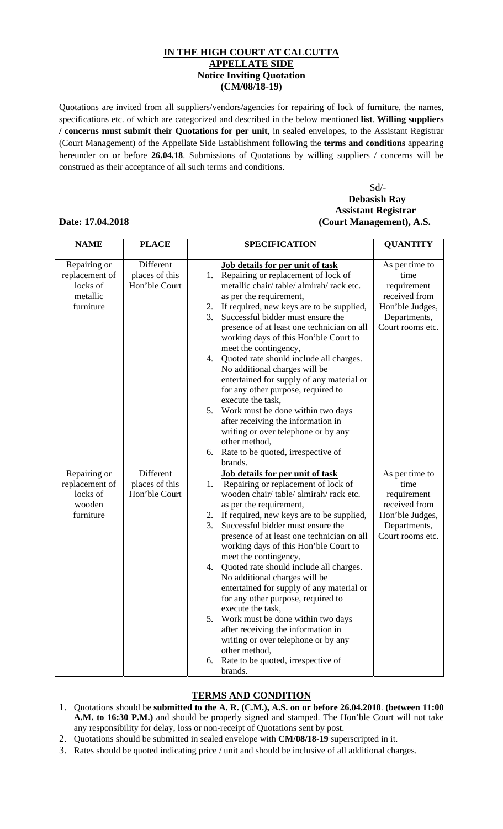## **IN THE HIGH COURT AT CALCUTTA APPELLATE SIDE Notice Inviting Quotation (CM/08/18-19)**

Quotations are invited from all suppliers/vendors/agencies for repairing of lock of furniture, the names, specifications etc. of which are categorized and described in the below mentioned **list**. **Willing suppliers / concerns must submit their Quotations for per unit**, in sealed envelopes, to the Assistant Registrar (Court Management) of the Appellate Side Establishment following the **terms and conditions** appearing hereunder on or before **26.04.18**. Submissions of Quotations by willing suppliers / concerns will be construed as their acceptance of all such terms and conditions.

## Sd/- **Debasish Ray Assistant Registrar Date: 17.04.2018 (Court Management), A.S.**

| <b>NAME</b>    | <b>PLACE</b>   | <b>SPECIFICATION</b>                                         | <b>QUANTITY</b>  |
|----------------|----------------|--------------------------------------------------------------|------------------|
| Repairing or   | Different      | <b>Job details for per unit of task</b>                      | As per time to   |
| replacement of | places of this | Repairing or replacement of lock of<br>1.                    | time             |
| locks of       | Hon'ble Court  | metallic chair/table/almirah/rack etc.                       | requirement      |
| metallic       |                | as per the requirement,                                      | received from    |
| furniture      |                | If required, new keys are to be supplied,<br>2.              | Hon'ble Judges,  |
|                |                | 3.<br>Successful bidder must ensure the                      | Departments,     |
|                |                | presence of at least one technician on all                   | Court rooms etc. |
|                |                | working days of this Hon'ble Court to                        |                  |
|                |                | meet the contingency,                                        |                  |
|                |                | 4. Quoted rate should include all charges.                   |                  |
|                |                | No additional charges will be                                |                  |
|                |                | entertained for supply of any material or                    |                  |
|                |                | for any other purpose, required to                           |                  |
|                |                | execute the task,                                            |                  |
|                |                | 5.<br>Work must be done within two days                      |                  |
|                |                | after receiving the information in                           |                  |
|                |                | writing or over telephone or by any                          |                  |
|                |                | other method,                                                |                  |
|                |                | Rate to be quoted, irrespective of<br>6.                     |                  |
|                |                | brands.                                                      |                  |
| Repairing or   | Different      | Job details for per unit of task                             | As per time to   |
| replacement of | places of this | Repairing or replacement of lock of<br>1.                    | time             |
| locks of       | Hon'ble Court  | wooden chair/table/almirah/rack etc.                         | requirement      |
| wooden         |                | as per the requirement,                                      | received from    |
| furniture      |                | If required, new keys are to be supplied,<br>2.              | Hon'ble Judges,  |
|                |                | 3.<br>Successful bidder must ensure the                      | Departments,     |
|                |                | presence of at least one technician on all                   | Court rooms etc. |
|                |                | working days of this Hon'ble Court to                        |                  |
|                |                | meet the contingency,                                        |                  |
|                |                | Quoted rate should include all charges.<br>4.                |                  |
|                |                | No additional charges will be                                |                  |
|                |                | entertained for supply of any material or                    |                  |
|                |                | for any other purpose, required to                           |                  |
|                |                | execute the task,<br>5.<br>Work must be done within two days |                  |
|                |                | after receiving the information in                           |                  |
|                |                | writing or over telephone or by any                          |                  |
|                |                |                                                              |                  |
|                |                |                                                              |                  |
|                |                |                                                              |                  |
|                |                | other method,<br>Rate to be quoted, irrespective of<br>6.    |                  |
|                |                | brands.                                                      |                  |

## **TERMS AND CONDITION**

- 1. Quotations should be **submitted to the A. R. (C.M.), A.S. on or before 26.04.2018**. **(between 11:00 A.M. to 16:30 P.M.)** and should be properly signed and stamped. The Hon'ble Court will not take any responsibility for delay, loss or non-receipt of Quotations sent by post.
- 2. Quotations should be submitted in sealed envelope with **CM/08/18-19** superscripted in it.
- 3. Rates should be quoted indicating price / unit and should be inclusive of all additional charges.